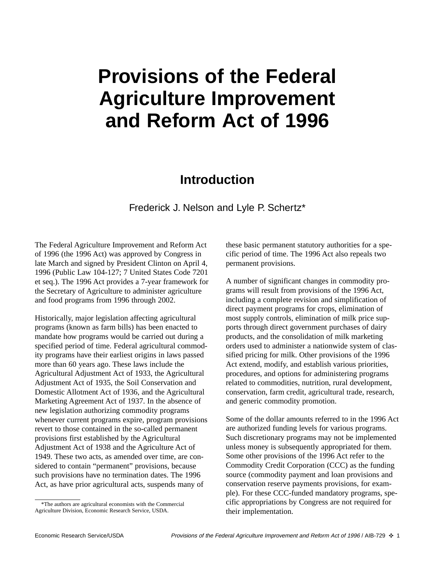## **Provisions of the Federal Agriculture Improvement and Reform Act of 1996**

## **Introduction**

Frederick J. Nelson and Lyle P. Schertz\*

The Federal Agriculture Improvement and Reform Act of 1996 (the 1996 Act) was approved by Congress in late March and signed by President Clinton on April 4, 1996 (Public Law 104-127; 7 United States Code 7201 et seq.). The 1996 Act provides a 7-year framework for the Secretary of Agriculture to administer agriculture and food programs from 1996 through 2002.

Historically, major legislation affecting agricultural programs (known as farm bills) has been enacted to mandate how programs would be carried out during a specified period of time. Federal agricultural commodity programs have their earliest origins in laws passed more than 60 years ago. These laws include the Agricultural Adjustment Act of 1933, the Agricultural Adjustment Act of 1935, the Soil Conservation and Domestic Allotment Act of 1936, and the Agricultural Marketing Agreement Act of 1937. In the absence of new legislation authorizing commodity programs whenever current programs expire, program provisions revert to those contained in the so-called permanent provisions first established by the Agricultural Adjustment Act of 1938 and the Agriculture Act of 1949. These two acts, as amended over time, are considered to contain "permanent" provisions, because such provisions have no termination dates. The 1996 Act, as have prior agricultural acts, suspends many of

these basic permanent statutory authorities for a specific period of time. The 1996 Act also repeals two permanent provisions.

A number of significant changes in commodity programs will result from provisions of the 1996 Act, including a complete revision and simplification of direct payment programs for crops, elimination of most supply controls, elimination of milk price supports through direct government purchases of dairy products, and the consolidation of milk marketing orders used to administer a nationwide system of classified pricing for milk. Other provisions of the 1996 Act extend, modify, and establish various priorities, procedures, and options for administering programs related to commodities, nutrition, rural development, conservation, farm credit, agricultural trade, research, and generic commodity promotion.

Some of the dollar amounts referred to in the 1996 Act are authorized funding levels for various programs. Such discretionary programs may not be implemented unless money is subsequently appropriated for them. Some other provisions of the 1996 Act refer to the Commodity Credit Corporation (CCC) as the funding source (commodity payment and loan provisions and conservation reserve payments provisions, for example). For these CCC-funded mandatory programs, specific appropriations by Congress are not required for their implementation.

<sup>\*</sup>The authors are agricultural economists with the Commercial Agriculture Division, Economic Research Service, USDA.